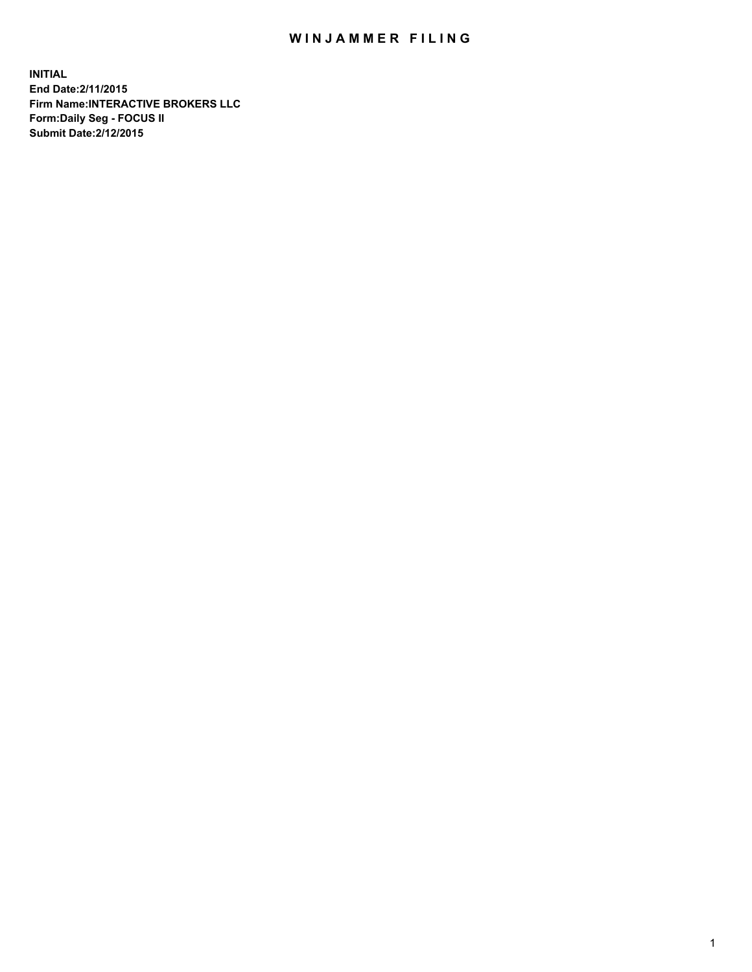# WIN JAMMER FILING

**INITIAL End Date:2/11/2015 Firm Name:INTERACTIVE BROKERS LLC Form:Daily Seg - FOCUS II Submit Date:2/12/2015**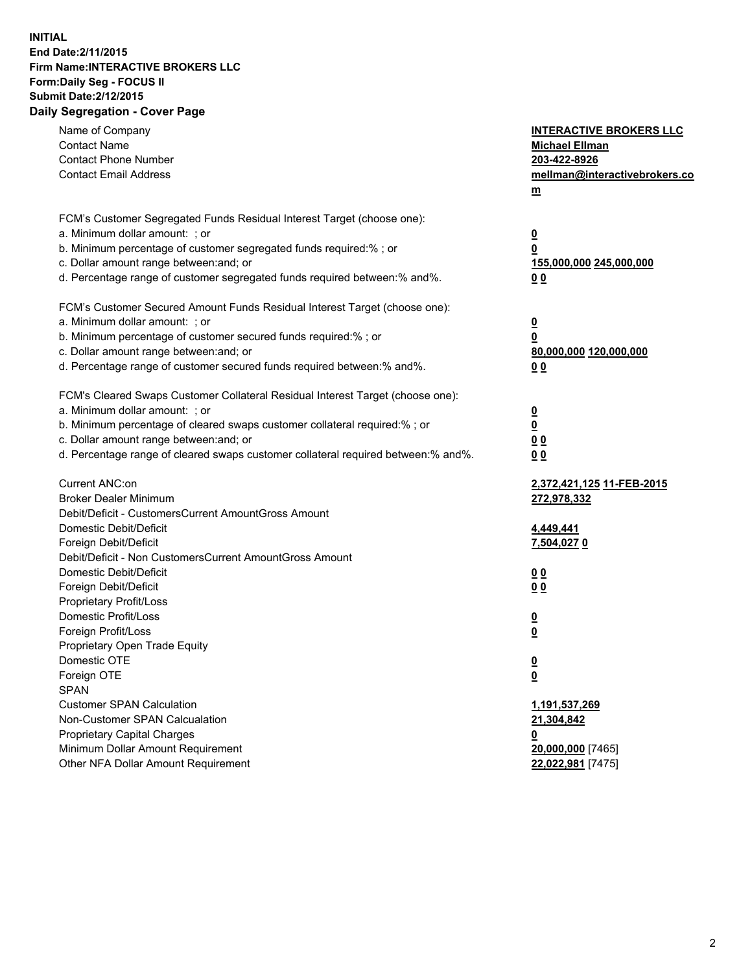# **INITIAL End Date:2/11/2015 Firm Name:INTERACTIVE BROKERS LLC Form:Daily Seg - FOCUS II Submit Date:2/12/2015 Daily Segregation - Cover Page**

| Name of Company<br><b>Contact Name</b>                                            | <b>INTERACTIVE BROKERS LLC</b><br><b>Michael Ellman</b>   |
|-----------------------------------------------------------------------------------|-----------------------------------------------------------|
| <b>Contact Phone Number</b>                                                       | 203-422-8926                                              |
| <b>Contact Email Address</b>                                                      | mellman@interactivebrokers.co<br>$\underline{\mathbf{m}}$ |
| FCM's Customer Segregated Funds Residual Interest Target (choose one):            |                                                           |
| a. Minimum dollar amount: ; or                                                    | $\overline{\mathbf{0}}$                                   |
| b. Minimum percentage of customer segregated funds required:% ; or                | 0                                                         |
| c. Dollar amount range between: and; or                                           | 155,000,000 245,000,000                                   |
| d. Percentage range of customer segregated funds required between:% and%.         | 00                                                        |
| FCM's Customer Secured Amount Funds Residual Interest Target (choose one):        |                                                           |
| a. Minimum dollar amount: ; or                                                    | $\overline{\mathbf{0}}$                                   |
| b. Minimum percentage of customer secured funds required:% ; or                   | 0                                                         |
| c. Dollar amount range between: and; or                                           | 80,000,000 120,000,000                                    |
| d. Percentage range of customer secured funds required between:% and%.            | 00                                                        |
| FCM's Cleared Swaps Customer Collateral Residual Interest Target (choose one):    |                                                           |
| a. Minimum dollar amount: ; or                                                    | $\overline{\mathbf{0}}$                                   |
| b. Minimum percentage of cleared swaps customer collateral required:% ; or        | $\overline{\mathbf{0}}$                                   |
| c. Dollar amount range between: and; or                                           | 0 <sub>0</sub>                                            |
| d. Percentage range of cleared swaps customer collateral required between:% and%. | 0 <sub>0</sub>                                            |
| Current ANC:on                                                                    | 2,372,421,125 11-FEB-2015                                 |
| <b>Broker Dealer Minimum</b>                                                      | 272,978,332                                               |
| Debit/Deficit - CustomersCurrent AmountGross Amount                               |                                                           |
| Domestic Debit/Deficit                                                            | 4,449,441                                                 |
| Foreign Debit/Deficit                                                             | 7,504,027 0                                               |
| Debit/Deficit - Non CustomersCurrent AmountGross Amount                           |                                                           |
| Domestic Debit/Deficit                                                            | 0 <sub>0</sub>                                            |
| Foreign Debit/Deficit                                                             | 0 <sub>0</sub>                                            |
| Proprietary Profit/Loss                                                           |                                                           |
| Domestic Profit/Loss                                                              | $\overline{\mathbf{0}}$                                   |
| Foreign Profit/Loss                                                               | $\underline{\mathbf{0}}$                                  |
| Proprietary Open Trade Equity                                                     |                                                           |
| Domestic OTE                                                                      | <u>0</u>                                                  |
| Foreign OTE                                                                       | <u>0</u>                                                  |
| <b>SPAN</b>                                                                       |                                                           |
| <b>Customer SPAN Calculation</b>                                                  | 1,191,537,269                                             |
| Non-Customer SPAN Calcualation                                                    | 21,304,842                                                |
| Proprietary Capital Charges                                                       | <u>0</u>                                                  |
| Minimum Dollar Amount Requirement                                                 | 20,000,000 [7465]                                         |
| Other NFA Dollar Amount Requirement                                               | 22,022,981 [7475]                                         |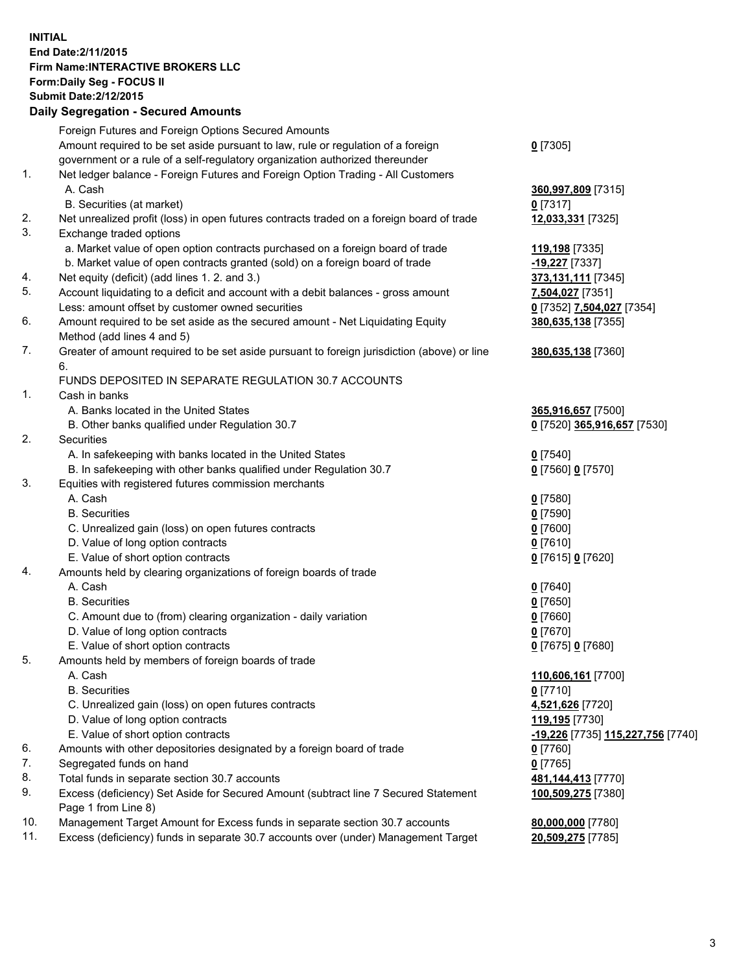### **INITIAL End Date:2/11/2015 Firm Name:INTERACTIVE BROKERS LLC Form:Daily Seg - FOCUS II Submit Date:2/12/2015 Daily Segregation - Secured Amounts**

|     | <u> Dany Ocymgyation - Occurea Announts</u>                                                 |                                   |
|-----|---------------------------------------------------------------------------------------------|-----------------------------------|
|     | Foreign Futures and Foreign Options Secured Amounts                                         |                                   |
|     | Amount required to be set aside pursuant to law, rule or regulation of a foreign            | $0$ [7305]                        |
|     | government or a rule of a self-regulatory organization authorized thereunder                |                                   |
| 1.  | Net ledger balance - Foreign Futures and Foreign Option Trading - All Customers             |                                   |
|     | A. Cash                                                                                     | 360,997,809 [7315]                |
|     | B. Securities (at market)                                                                   | $0$ [7317]                        |
| 2.  | Net unrealized profit (loss) in open futures contracts traded on a foreign board of trade   | 12,033,331 [7325]                 |
| 3.  | Exchange traded options                                                                     |                                   |
|     | a. Market value of open option contracts purchased on a foreign board of trade              | 119,198 [7335]                    |
|     | b. Market value of open contracts granted (sold) on a foreign board of trade                | -19,227 [7337]                    |
| 4.  | Net equity (deficit) (add lines 1. 2. and 3.)                                               | 373,131,111 [7345]                |
| 5.  | Account liquidating to a deficit and account with a debit balances - gross amount           | 7,504,027 [7351]                  |
|     | Less: amount offset by customer owned securities                                            | 0 [7352] 7,504,027 [7354]         |
| 6.  | Amount required to be set aside as the secured amount - Net Liquidating Equity              | 380,635,138 [7355]                |
|     | Method (add lines 4 and 5)                                                                  |                                   |
| 7.  | Greater of amount required to be set aside pursuant to foreign jurisdiction (above) or line | 380,635,138 [7360]                |
|     | 6.                                                                                          |                                   |
|     | FUNDS DEPOSITED IN SEPARATE REGULATION 30.7 ACCOUNTS                                        |                                   |
| 1.  | Cash in banks                                                                               |                                   |
|     | A. Banks located in the United States                                                       | 365,916,657 [7500]                |
|     | B. Other banks qualified under Regulation 30.7                                              | 0 [7520] 365,916,657 [7530]       |
| 2.  | <b>Securities</b>                                                                           |                                   |
|     | A. In safekeeping with banks located in the United States                                   | $0$ [7540]                        |
|     | B. In safekeeping with other banks qualified under Regulation 30.7                          | 0 [7560] 0 [7570]                 |
| 3.  | Equities with registered futures commission merchants                                       |                                   |
|     | A. Cash                                                                                     | $0$ [7580]                        |
|     | <b>B.</b> Securities                                                                        | $0$ [7590]                        |
|     | C. Unrealized gain (loss) on open futures contracts                                         | $0$ [7600]                        |
|     | D. Value of long option contracts                                                           | $0$ [7610]                        |
|     | E. Value of short option contracts                                                          | 0 [7615] 0 [7620]                 |
| 4.  | Amounts held by clearing organizations of foreign boards of trade                           |                                   |
|     | A. Cash                                                                                     | $0$ [7640]                        |
|     | <b>B.</b> Securities                                                                        | $0$ [7650]                        |
|     | C. Amount due to (from) clearing organization - daily variation                             | $0$ [7660]                        |
|     | D. Value of long option contracts                                                           | $0$ [7670]                        |
|     | E. Value of short option contracts                                                          | 0 [7675] 0 [7680]                 |
| 5.  | Amounts held by members of foreign boards of trade                                          |                                   |
|     | A. Cash                                                                                     | 110,606,161 [7700]                |
|     | <b>B.</b> Securities                                                                        | $0$ [7710]                        |
|     | C. Unrealized gain (loss) on open futures contracts                                         | 4,521,626 [7720]                  |
|     | D. Value of long option contracts                                                           | 119,195 [7730]                    |
|     | E. Value of short option contracts                                                          | -19,226 [7735] 115,227,756 [7740] |
| 6.  | Amounts with other depositories designated by a foreign board of trade                      | $0$ [7760]                        |
| 7.  | Segregated funds on hand                                                                    | $0$ [7765]                        |
| 8.  | Total funds in separate section 30.7 accounts                                               | 481,144,413 [7770]                |
| 9.  | Excess (deficiency) Set Aside for Secured Amount (subtract line 7 Secured Statement         | 100,509,275 [7380]                |
|     | Page 1 from Line 8)                                                                         |                                   |
| 10. | Management Target Amount for Excess funds in separate section 30.7 accounts                 | 80,000,000 [7780]                 |
| 11. | Excess (deficiency) funds in separate 30.7 accounts over (under) Management Target          | 20,509,275 [7785]                 |
|     |                                                                                             |                                   |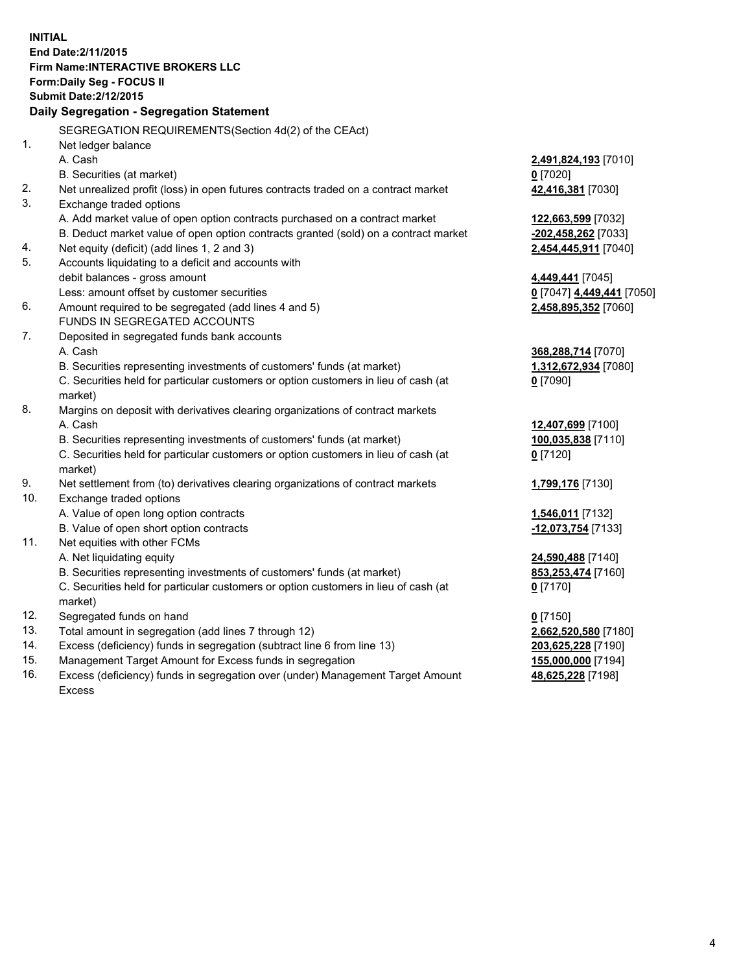**INITIAL End Date:2/11/2015 Firm Name:INTERACTIVE BROKERS LLC Form:Daily Seg - FOCUS II Submit Date:2/12/2015 Daily Segregation - Segregation Statement** SEGREGATION REQUIREMENTS(Section 4d(2) of the CEAct) 1. Net ledger balance A. Cash **2,491,824,193** [7010] B. Securities (at market) **0** [7020] 2. Net unrealized profit (loss) in open futures contracts traded on a contract market **42,416,381** [7030] 3. Exchange traded options A. Add market value of open option contracts purchased on a contract market **122,663,599** [7032] B. Deduct market value of open option contracts granted (sold) on a contract market **-202,458,262** [7033] 4. Net equity (deficit) (add lines 1, 2 and 3) **2,454,445,911** [7040] 5. Accounts liquidating to a deficit and accounts with debit balances - gross amount **4,449,441** [7045] Less: amount offset by customer securities **0** [7047] **4,449,441** [7050] 6. Amount required to be segregated (add lines 4 and 5) **2,458,895,352** [7060] FUNDS IN SEGREGATED ACCOUNTS 7. Deposited in segregated funds bank accounts A. Cash **368,288,714** [7070] B. Securities representing investments of customers' funds (at market) **1,312,672,934** [7080] C. Securities held for particular customers or option customers in lieu of cash (at market) **0** [7090] 8. Margins on deposit with derivatives clearing organizations of contract markets A. Cash **12,407,699** [7100] B. Securities representing investments of customers' funds (at market) **100,035,838** [7110] C. Securities held for particular customers or option customers in lieu of cash (at market) **0** [7120] 9. Net settlement from (to) derivatives clearing organizations of contract markets **1,799,176** [7130] 10. Exchange traded options A. Value of open long option contracts **1,546,011** [7132] B. Value of open short option contracts **-12,073,754** [7133] 11. Net equities with other FCMs A. Net liquidating equity **24,590,488** [7140] B. Securities representing investments of customers' funds (at market) **853,253,474** [7160] C. Securities held for particular customers or option customers in lieu of cash (at market) **0** [7170] 12. Segregated funds on hand **0** [7150] 13. Total amount in segregation (add lines 7 through 12) **2,662,520,580** [7180] 14. Excess (deficiency) funds in segregation (subtract line 6 from line 13) **203,625,228** [7190] 15. Management Target Amount for Excess funds in segregation **155,000,000** [7194]

16. Excess (deficiency) funds in segregation over (under) Management Target Amount Excess

**48,625,228** [7198]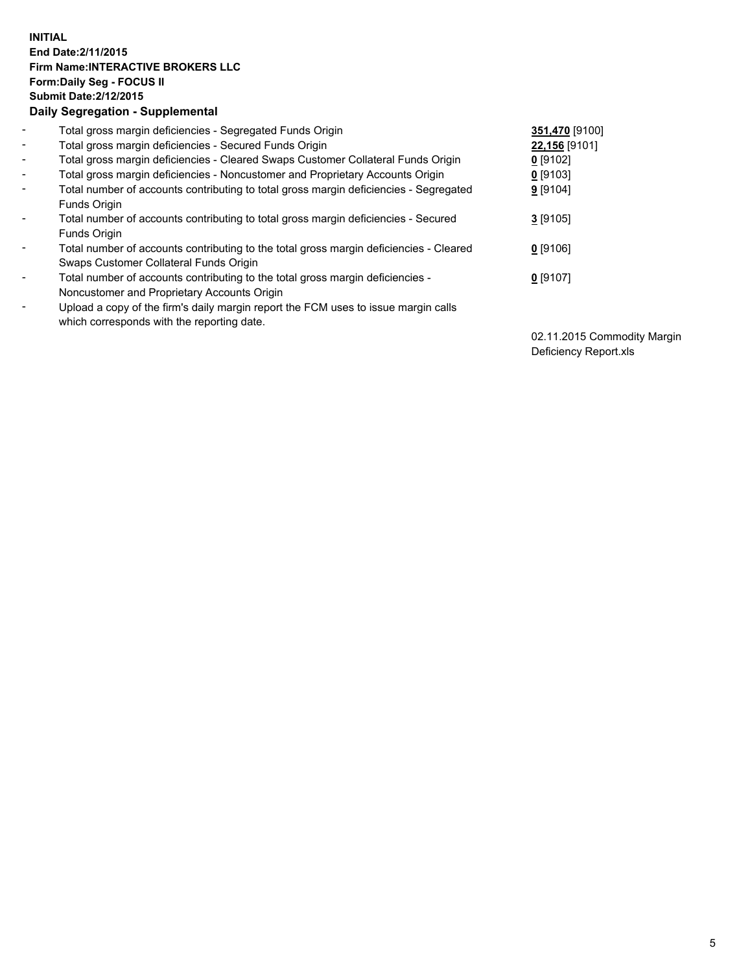## **INITIAL End Date:2/11/2015 Firm Name:INTERACTIVE BROKERS LLC Form:Daily Seg - FOCUS II Submit Date:2/12/2015 Daily Segregation - Supplemental**

| $\blacksquare$           | Total gross margin deficiencies - Segregated Funds Origin                              | 351,470 [9100] |
|--------------------------|----------------------------------------------------------------------------------------|----------------|
| $\sim$                   | Total gross margin deficiencies - Secured Funds Origin                                 | 22,156 [9101]  |
| $\blacksquare$           | Total gross margin deficiencies - Cleared Swaps Customer Collateral Funds Origin       | $0$ [9102]     |
| $\blacksquare$           | Total gross margin deficiencies - Noncustomer and Proprietary Accounts Origin          | $0$ [9103]     |
| $\blacksquare$           | Total number of accounts contributing to total gross margin deficiencies - Segregated  | $9$ [9104]     |
|                          | Funds Origin                                                                           |                |
| $\blacksquare$           | Total number of accounts contributing to total gross margin deficiencies - Secured     | $3$ [9105]     |
|                          | <b>Funds Origin</b>                                                                    |                |
| $\blacksquare$           | Total number of accounts contributing to the total gross margin deficiencies - Cleared | $0$ [9106]     |
|                          | Swaps Customer Collateral Funds Origin                                                 |                |
| $\overline{\phantom{a}}$ | Total number of accounts contributing to the total gross margin deficiencies -         | $0$ [9107]     |
|                          | Noncustomer and Proprietary Accounts Origin                                            |                |
| $\overline{\phantom{a}}$ | Upload a copy of the firm's daily margin report the FCM uses to issue margin calls     |                |
|                          | which corresponds with the reporting date.                                             |                |

02.11.2015 Commodity Margin Deficiency Report.xls